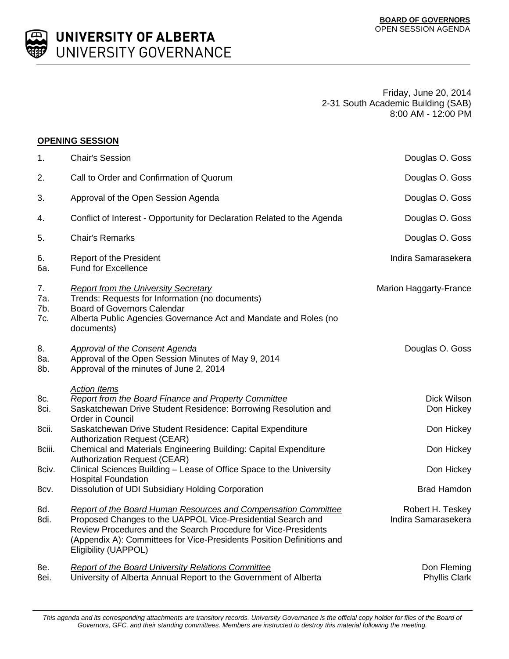

UNIVERSITY OF ALBERTA UNIVERSITY GOVERNANCE

> Friday, June 20, 2014 2-31 South Academic Building (SAB) 8:00 AM - 12:00 PM

## **OPENING SESSION**

| 1.                      | <b>Chair's Session</b>                                                                                                                                                                                                                                                                                  | Douglas O. Goss                         |
|-------------------------|---------------------------------------------------------------------------------------------------------------------------------------------------------------------------------------------------------------------------------------------------------------------------------------------------------|-----------------------------------------|
| 2.                      | Call to Order and Confirmation of Quorum                                                                                                                                                                                                                                                                | Douglas O. Goss                         |
| 3.                      | Approval of the Open Session Agenda                                                                                                                                                                                                                                                                     | Douglas O. Goss                         |
| 4.                      | Conflict of Interest - Opportunity for Declaration Related to the Agenda                                                                                                                                                                                                                                | Douglas O. Goss                         |
| 5.                      | <b>Chair's Remarks</b>                                                                                                                                                                                                                                                                                  | Douglas O. Goss                         |
| 6.<br>6a.               | Report of the President<br><b>Fund for Excellence</b>                                                                                                                                                                                                                                                   | Indira Samarasekera                     |
| 7.<br>7a.<br>7b.<br>7c. | <b>Report from the University Secretary</b><br>Trends: Requests for Information (no documents)<br><b>Board of Governors Calendar</b><br>Alberta Public Agencies Governance Act and Mandate and Roles (no<br>documents)                                                                                  | Marion Haggarty-France                  |
| <u>8.</u><br>8a.<br>8b. | <b>Approval of the Consent Agenda</b><br>Approval of the Open Session Minutes of May 9, 2014<br>Approval of the minutes of June 2, 2014                                                                                                                                                                 | Douglas O. Goss                         |
| 8c.<br>8ci.             | <b>Action Items</b><br><b>Report from the Board Finance and Property Committee</b><br>Saskatchewan Drive Student Residence: Borrowing Resolution and<br>Order in Council                                                                                                                                | Dick Wilson<br>Don Hickey               |
| 8cii.                   | Saskatchewan Drive Student Residence: Capital Expenditure<br><b>Authorization Request (CEAR)</b>                                                                                                                                                                                                        | Don Hickey                              |
| 8ciii.                  | Chemical and Materials Engineering Building: Capital Expenditure<br><b>Authorization Request (CEAR)</b>                                                                                                                                                                                                 | Don Hickey                              |
| 8civ.                   | Clinical Sciences Building - Lease of Office Space to the University<br><b>Hospital Foundation</b>                                                                                                                                                                                                      | Don Hickey                              |
| 8cv.                    | Dissolution of UDI Subsidiary Holding Corporation                                                                                                                                                                                                                                                       | <b>Brad Hamdon</b>                      |
| 8d.<br>8di.             | <b>Report of the Board Human Resources and Compensation Committee</b><br>Proposed Changes to the UAPPOL Vice-Presidential Search and<br>Review Procedures and the Search Procedure for Vice-Presidents<br>(Appendix A): Committees for Vice-Presidents Position Definitions and<br>Eligibility (UAPPOL) | Robert H. Teskey<br>Indira Samarasekera |
| 8e.<br>8ei.             | <b>Report of the Board University Relations Committee</b><br>University of Alberta Annual Report to the Government of Alberta                                                                                                                                                                           | Don Fleming<br><b>Phyllis Clark</b>     |

*This agenda and its corresponding attachments are transitory records. University Governance is the official copy holder for files of the Board of Governors, GFC, and their standing committees. Members are instructed to destroy this material following the meeting.*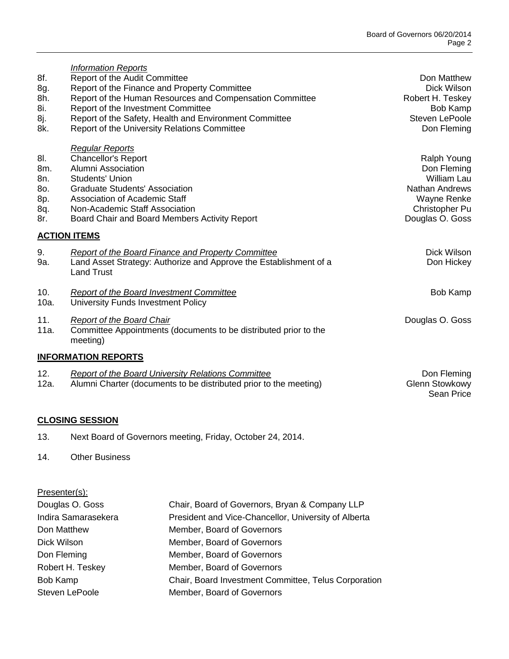Sean Price

| 8f.<br>8g.<br>8h.<br>8i.<br>8j.<br>8k.        | <b>Information Reports</b><br>Report of the Audit Committee<br>Report of the Finance and Property Committee<br>Report of the Human Resources and Compensation Committee<br>Report of the Investment Committee<br>Report of the Safety, Health and Environment Committee<br>Report of the University Relations Committee | Don Matthew<br>Dick Wilson<br>Robert H. Teskey<br><b>Bob Kamp</b><br>Steven LePoole<br>Don Fleming              |
|-----------------------------------------------|-------------------------------------------------------------------------------------------------------------------------------------------------------------------------------------------------------------------------------------------------------------------------------------------------------------------------|-----------------------------------------------------------------------------------------------------------------|
| 8I.<br>8m.<br>8n.<br>80.<br>8p.<br>8q.<br>8r. | <b>Regular Reports</b><br><b>Chancellor's Report</b><br>Alumni Association<br><b>Students' Union</b><br><b>Graduate Students' Association</b><br><b>Association of Academic Staff</b><br>Non-Academic Staff Association<br>Board Chair and Board Members Activity Report                                                | Ralph Young<br>Don Fleming<br>William Lau<br>Nathan Andrews<br>Wayne Renke<br>Christopher Pu<br>Douglas O. Goss |
|                                               | <b>ACTION ITEMS</b>                                                                                                                                                                                                                                                                                                     |                                                                                                                 |
| 9.<br>9a.                                     | Report of the Board Finance and Property Committee<br>Land Asset Strategy: Authorize and Approve the Establishment of a<br><b>Land Trust</b>                                                                                                                                                                            | Dick Wilson<br>Don Hickey                                                                                       |
| 10.<br>10a.                                   | Report of the Board Investment Committee<br>University Funds Investment Policy                                                                                                                                                                                                                                          | Bob Kamp                                                                                                        |
| 11.<br>11a.                                   | <b>Report of the Board Chair</b><br>Committee Appointments (documents to be distributed prior to the<br>meeting)                                                                                                                                                                                                        | Douglas O. Goss                                                                                                 |
|                                               | <b>INFORMATION REPORTS</b>                                                                                                                                                                                                                                                                                              |                                                                                                                 |
| 12.<br>12a.                                   | <b>Report of the Board University Relations Committee</b><br>Alumni Charter (documents to be distributed prior to the meeting)                                                                                                                                                                                          | Don Fleming<br><b>Glenn Stowkowy</b>                                                                            |

## **CLOSING SESSION**

13. Next Board of Governors meeting, Friday, October 24, 2014.

## 14. Other Business

| Presenter(s):       |                                                      |
|---------------------|------------------------------------------------------|
| Douglas O. Goss     | Chair, Board of Governors, Bryan & Company LLP       |
| Indira Samarasekera | President and Vice-Chancellor, University of Alberta |
| Don Matthew         | Member, Board of Governors                           |
| Dick Wilson         | Member, Board of Governors                           |
| Don Fleming         | Member, Board of Governors                           |
| Robert H. Teskey    | Member, Board of Governors                           |
| Bob Kamp            | Chair, Board Investment Committee, Telus Corporation |
| Steven LePoole      | Member, Board of Governors                           |